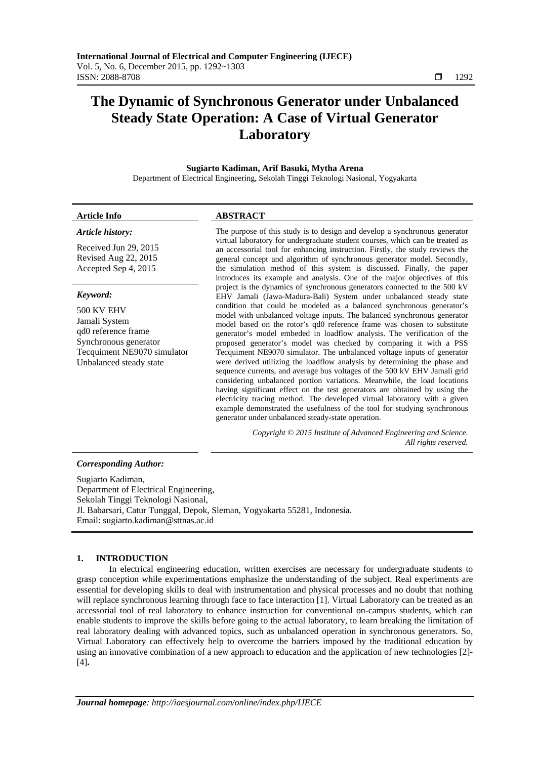# **The Dynamic of Synchronous Generator under Unbalanced Steady State Operation: A Case of Virtual Generator Laboratory**

**Sugiarto Kadiman, Arif Basuki, Mytha Arena** 

Department of Electrical Engineering, Sekolah Tinggi Teknologi Nasional, Yogyakarta

# **Article Info ABSTRACT**

# *Article history:*

Received Jun 29, 2015 Revised Aug 22, 2015 Accepted Sep 4, 2015

# *Keyword:*

500 KV EHV Jamali System qd0 reference frame Synchronous generator Tecquiment NE9070 simulator Unbalanced steady state

The purpose of this study is to design and develop a synchronous generator virtual laboratory for undergraduate student courses, which can be treated as an accessorial tool for enhancing instruction. Firstly, the study reviews the general concept and algorithm of synchronous generator model. Secondly, the simulation method of this system is discussed. Finally, the paper introduces its example and analysis. One of the major objectives of this project is the dynamics of synchronous generators connected to the 500 kV EHV Jamali (Jawa-Madura-Bali) System under unbalanced steady state condition that could be modeled as a balanced synchronous generator's model with unbalanced voltage inputs. The balanced synchronous generator model based on the rotor's qd0 reference frame was chosen to substitute generator's model embeded in loadflow analysis. The verification of the proposed generator's model was checked by comparing it with a PSS Tecquiment NE9070 simulator. The unbalanced voltage inputs of generator were derived utilizing the loadflow analysis by determining the phase and sequence currents, and average bus voltages of the 500 kV EHV Jamali grid considering unbalanced portion variations. Meanwhile, the load locations having significant effect on the test generators are obtained by using the electricity tracing method. The developed virtual laboratory with a given example demonstrated the usefulness of the tool for studying synchronous generator under unbalanced steady-state operation.

> *Copyright © 2015 Institute of Advanced Engineering and Science. All rights reserved.*

# *Corresponding Author:*

Sugiarto Kadiman, Department of Electrical Engineering, Sekolah Tinggi Teknologi Nasional, Jl. Babarsari, Catur Tunggal, Depok, Sleman, Yogyakarta 55281, Indonesia. Email: sugiarto.kadiman@sttnas.ac.id

# **1. INTRODUCTION**

In electrical engineering education, written exercises are necessary for undergraduate students to grasp conception while experimentations emphasize the understanding of the subject. Real experiments are essential for developing skills to deal with instrumentation and physical processes and no doubt that nothing will replace synchronous learning through face to face interaction [1]. Virtual Laboratory can be treated as an accessorial tool of real laboratory to enhance instruction for conventional on-campus students, which can enable students to improve the skills before going to the actual laboratory, to learn breaking the limitation of real laboratory dealing with advanced topics, such as unbalanced operation in synchronous generators. So, Virtual Laboratory can effectively help to overcome the barriers imposed by the traditional education by using an innovative combination of a new approach to education and the application of new technologies [2]- [4]**.**

ֺֺ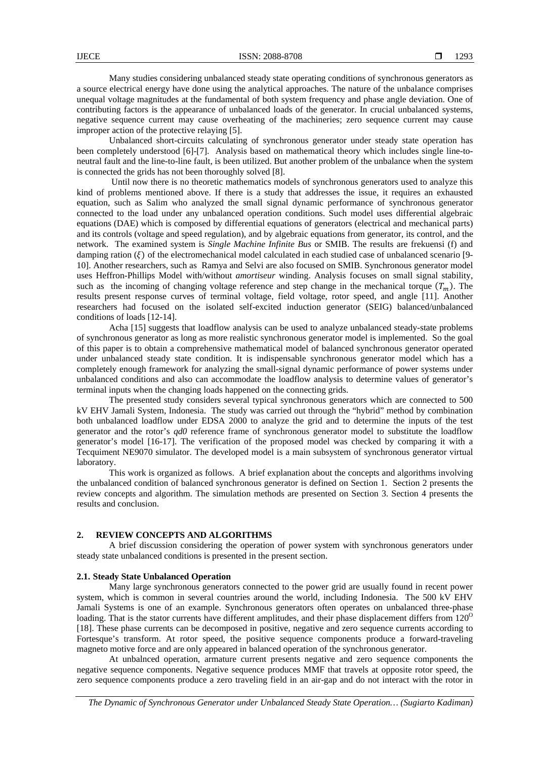Many studies considering unbalanced steady state operating conditions of synchronous generators as a source electrical energy have done using the analytical approaches. The nature of the unbalance comprises unequal voltage magnitudes at the fundamental of both system frequency and phase angle deviation. One of contributing factors is the appearance of unbalanced loads of the generator. In crucial unbalanced systems, negative sequence current may cause overheating of the machineries; zero sequence current may cause improper action of the protective relaying [5].

 Unbalanced short-circuits calculating of synchronous generator under steady state operation has been completely understood [6]-[7]. Analysis based on mathematical theory which includes single line-toneutral fault and the line-to-line fault, is been utilized. But another problem of the unbalance when the system is connected the grids has not been thoroughly solved [8].

 Until now there is no theoretic mathematics models of synchronous generators used to analyze this kind of problems mentioned above. If there is a study that addresses the issue, it requires an exhausted equation, such as Salim who analyzed the small signal dynamic performance of synchronous generator connected to the load under any unbalanced operation conditions. Such model uses differential algebraic equations (DAE) which is composed by differential equations of generators (electrical and mechanical parts) and its controls (voltage and speed regulation), and by algebraic equations from generator, its control, and the network. The examined system is *Single Machine Infinite Bus* or SMIB. The results are frekuensi (f) and damping ration ( $\xi$ ) of the electromechanical model calculated in each studied case of unbalanced scenario [9-10]. Another researchers, such as Ramya and Selvi are also focused on SMIB. Synchronous generator model uses Heffron-Phillips Model with/without *amortiseur* winding. Analysis focuses on small signal stability, such as the incoming of changing voltage reference and step change in the mechanical torque  $(T_m)$ . The results present response curves of terminal voltage, field voltage, rotor speed, and angle [11]. Another researchers had focused on the isolated self-excited induction generator (SEIG) balanced/unbalanced conditions of loads [12-14].

Acha [15] suggests that loadflow analysis can be used to analyze unbalanced steady-state problems of synchronous generator as long as more realistic synchronous generator model is implemented. So the goal of this paper is to obtain a comprehensive mathematical model of balanced synchronous generator operated under unbalanced steady state condition. It is indispensable synchronous generator model which has a completely enough framework for analyzing the small-signal dynamic performance of power systems under unbalanced conditions and also can accommodate the loadflow analysis to determine values of generator's terminal inputs when the changing loads happened on the connecting grids.

The presented study considers several typical synchronous generators which are connected to 500 kV EHV Jamali System, Indonesia. The study was carried out through the "hybrid" method by combination both unbalanced loadflow under EDSA 2000 to analyze the grid and to determine the inputs of the test generator and the rotor's *qd0* reference frame of synchronous generator model to substitute the loadflow generator's model [16-17]. The verification of the proposed model was checked by comparing it with a Tecquiment NE9070 simulator. The developed model is a main subsystem of synchronous generator virtual laboratory.

This work is organized as follows. A brief explanation about the concepts and algorithms involving the unbalanced condition of balanced synchronous generator is defined on Section 1. Section 2 presents the review concepts and algorithm. The simulation methods are presented on Section 3. Section 4 presents the results and conclusion.

#### **2. REVIEW CONCEPTS AND ALGORITHMS**

A brief discussion considering the operation of power system with synchronous generators under steady state unbalanced conditions is presented in the present section.

# **2.1. Steady State Unbalanced Operation**

Many large synchronous generators connected to the power grid are usually found in recent power system, which is common in several countries around the world, including Indonesia. The 500 kV EHV Jamali Systems is one of an example. Synchronous generators often operates on unbalanced three-phase loading. That is the stator currents have different amplitudes, and their phase displacement differs from 120<sup>0</sup> [18]. These phase currents can be decomposed in positive, negative and zero sequence currents according to Fortesque's transform. At rotor speed, the positive sequence components produce a forward-traveling magneto motive force and are only appeared in balanced operation of the synchronous generator.

At unbalnced operation, armature current presents negative and zero sequence components the negative sequence components. Negative sequence produces MMF that travels at opposite rotor speed, the zero sequence components produce a zero traveling field in an air-gap and do not interact with the rotor in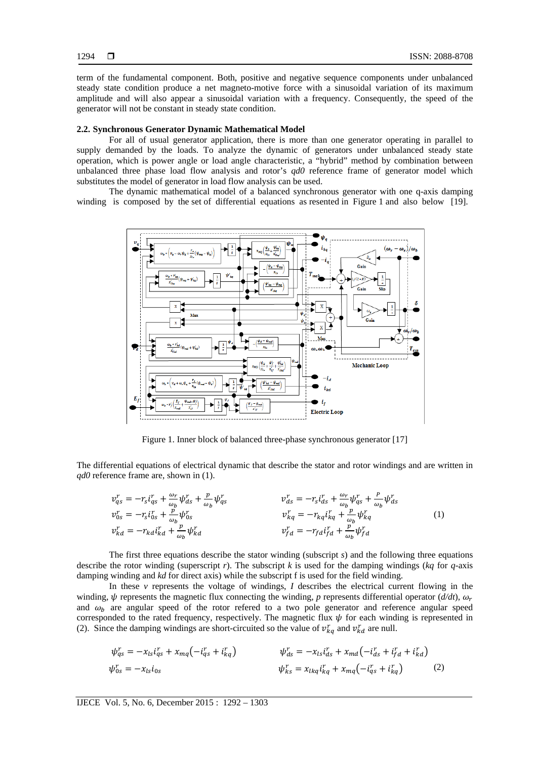term of the fundamental component. Both, positive and negative sequence components under unbalanced steady state condition produce a net magneto-motive force with a sinusoidal variation of its maximum amplitude and will also appear a sinusoidal variation with a frequency. Consequently, the speed of the generator will not be constant in steady state condition.

#### **2.2. Synchronous Generator Dynamic Mathematical Model**

For all of usual generator application, there is more than one generator operating in parallel to supply demanded by the loads. To analyze the dynamic of generators under unbalanced steady state operation, which is power angle or load angle characteristic, a "hybrid" method by combination between unbalanced three phase load flow analysis and rotor's *qd0* reference frame of generator model which substitutes the model of generator in load flow analysis can be used.

The dynamic mathematical model of a balanced synchronous generator with one q-axis damping winding is composed by the set of differential equations as resented in Figure 1 and also below [19].



Figure 1. Inner block of balanced three-phase synchronous generator [17]

The differential equations of electrical dynamic that describe the stator and rotor windings and are written in *qd0* reference frame are, shown in (1).

$$
v_{qs}^r = -r_s i_{qs}^r + \frac{\omega_r}{\omega_b} \psi_{ds}^r + \frac{p}{\omega_b} \psi_{qs}^r
$$
  
\n
$$
v_{qs}^r = -r_s i_{gs}^r + \frac{p}{\omega_b} \psi_{gs}^r
$$
  
\n
$$
v_{kd}^r = -r_{kd} i_{kd}^r + \frac{p}{\omega_b} \psi_{kd}^r
$$
  
\n
$$
v_{kd}^r = -r_{kd} i_{kd}^r + \frac{p}{\omega_b} \psi_{kd}^r
$$
  
\n
$$
v_{fd}^r = -r_{fd} i_{fd}^r + \frac{p}{\omega_b} \psi_{fd}^r
$$
  
\n(1)

The first three equations describe the stator winding (subscript *s*) and the following three equations describe the rotor winding (superscript *r*). The subscript *k* is used for the damping windings (*kq* for *q*-axis damping winding and *kd* for direct axis) while the subscript f is used for the field winding.

In these *v* represents the voltage of windings, *I* describes the electrical current flowing in the winding,  $\psi$  represents the magnetic flux connecting the winding, *p* represents differential operator ( $d/dt$ ),  $\omega_r$ and  $\omega_b$  are angular speed of the rotor refered to a two pole generator and reference angular speed corresponded to the rated frequency, respectively. The magnetic flux  $\psi$  for each winding is represented in (2). Since the damping windings are short-circuited so the value of  $v_{kq}^r$  and  $v_{kd}^r$  are null.

$$
\psi_{qs}^{r} = -x_{ls}i_{qs}^{r} + x_{mq}(-i_{qs}^{r} + i_{kq}^{r})
$$
\n
$$
\psi_{ds}^{r} = -x_{ls}i_{ds}^{r} + x_{md}(-i_{ds}^{r} + i_{fd}^{r} + i_{kq}^{r})
$$
\n
$$
\psi_{bs}^{r} = x_{lkq}i_{kq}^{r} + x_{mq}(-i_{qs}^{r} + i_{kq}^{r})
$$
\n(2)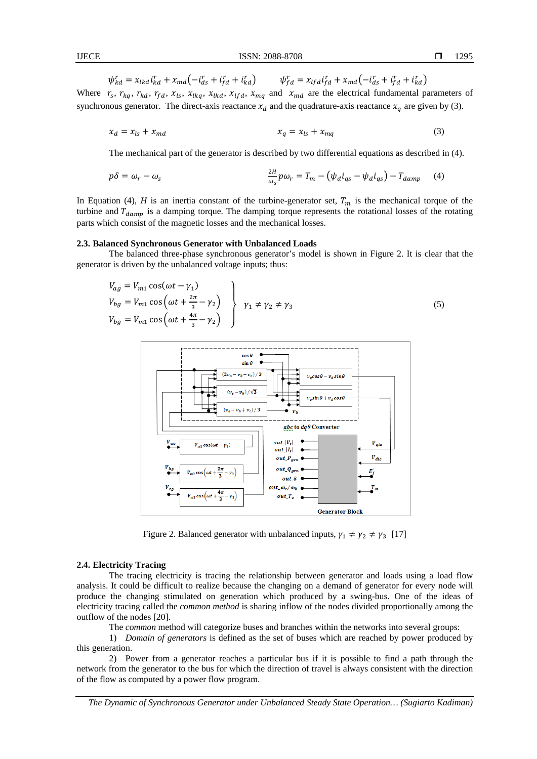$$
\psi_{kd}^r = x_{lkd} i_{kd}^r + x_{md}(-i_{ds}^r + i_{fd}^r + i_{kd}^r) \qquad \psi_{fd}^r = x_{lfd} i_{fd}^r + x_{md}(-i_{ds}^r + i_{fd}^r + i_{kd}^r)
$$

Where  $r_s$ ,  $r_{kq}$ ,  $r_{kd}$ ,  $r_{fd}$ ,  $x_{ls}$ ,  $x_{lkq}$ ,  $x_{lkd}$ ,  $x_{lfd}$ ,  $x_{mq}$  and  $x_{md}$  are the electrical fundamental parameters of synchronous generator. The direct-axis reactance  $x_d$  and the quadrature-axis reactance  $x_a$  are given by (3).

$$
x_d = x_{ls} + x_{md} \tag{3}
$$

The mechanical part of the generator is described by two differential equations as described in (4).

$$
p\delta = \omega_r - \omega_s \qquad \qquad \frac{2H}{\omega_s} p\omega_r = T_m - \left(\psi_d i_{qs} - \psi_d i_{qs}\right) - T_{damp} \qquad (4)
$$

In Equation (4), *H* is an inertia constant of the turbine-generator set,  $T_m$  is the mechanical torque of the turbine and  $T_{damm}$  is a damping torque. The damping torque represents the rotational losses of the rotating parts which consist of the magnetic losses and the mechanical losses.

#### **2.3. Balanced Synchronous Generator with Unbalanced Loads**

The balanced three-phase synchronous generator's model is shown in Figure 2. It is clear that the generator is driven by the unbalanced voltage inputs; thus:

$$
V_{ag} = V_{m1} \cos(\omega t - \gamma_1)
$$
  
\n
$$
V_{bg} = V_{m1} \cos(\omega t + \frac{2\pi}{3} - \gamma_2)
$$
  
\n
$$
V_{bg} = V_{m1} \cos(\omega t + \frac{4\pi}{3} - \gamma_2)
$$
  
\n
$$
V_1 \neq \gamma_2 \neq \gamma_3
$$
\n(5)



Figure 2. Balanced generator with unbalanced inputs,  $\gamma_1 \neq \gamma_2 \neq \gamma_3$  [17]

#### **2.4. Electricity Tracing**

The tracing electricity is tracing the relationship between generator and loads using a load flow analysis. It could be difficult to realize because the changing on a demand of generator for every node will produce the changing stimulated on generation which produced by a swing-bus. One of the ideas of electricity tracing called the *common method* is sharing inflow of the nodes divided proportionally among the outflow of the nodes [20].

The *common* method will categorize buses and branches within the networks into several groups:

1) *Domain of generators* is defined as the set of buses which are reached by power produced by this generation.

2) Power from a generator reaches a particular bus if it is possible to find a path through the network from the generator to the bus for which the direction of travel is always consistent with the direction of the flow as computed by a power flow program.

*The Dynamic of Synchronous Generator under Unbalanced Steady State Operation… (Sugiarto Kadiman)*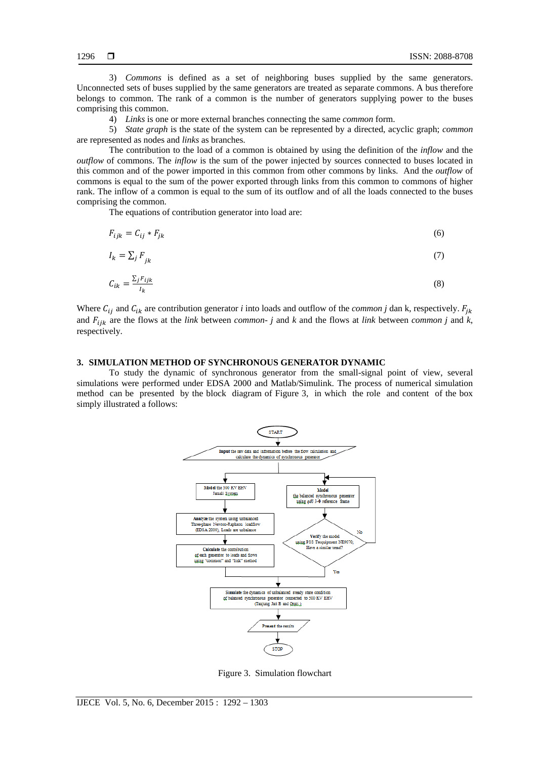3) *Commons* is defined as a set of neighboring buses supplied by the same generators. Unconnected sets of buses supplied by the same generators are treated as separate commons. A bus therefore belongs to common. The rank of a common is the number of generators supplying power to the buses comprising this common.

4) *Links* is one or more external branches connecting the same *common* form.

5) *State graph* is the state of the system can be represented by a directed, acyclic graph; *common* are represented as nodes and *links* as branches.

The contribution to the load of a common is obtained by using the definition of the *inflow* and the *outflow* of commons. The *inflow* is the sum of the power injected by sources connected to buses located in this common and of the power imported in this common from other commons by links. And the *outflow* of commons is equal to the sum of the power exported through links from this common to commons of higher rank. The inflow of a common is equal to the sum of its outflow and of all the loads connected to the buses comprising the common.

The equations of contribution generator into load are:

$$
F_{ijk} = C_{ij} * F_{jk} \tag{6}
$$

$$
I_k = \sum_j F_{jk} \tag{7}
$$

$$
C_{ik} = \frac{\sum_{j} F_{ijk}}{I_k} \tag{8}
$$

Where  $C_{ij}$  and  $C_{ik}$  are contribution generator *i* into loads and outflow of the *common j* dan k, respectively.  $F_{jk}$ and  $F_{ijk}$  are the flows at the *link* between *common- j* and *k* and the flows at *link* between *common j* and *k*, respectively.

# **3. SIMULATION METHOD OF SYNCHRONOUS GENERATOR DYNAMIC**

To study the dynamic of synchronous generator from the small-signal point of view, several simulations were performed under EDSA 2000 and Matlab/Simulink. The process of numerical simulation method can be presented by the block diagram of Figure 3, in which the role and content of the box simply illustrated a follows:



Figure 3. Simulation flowchart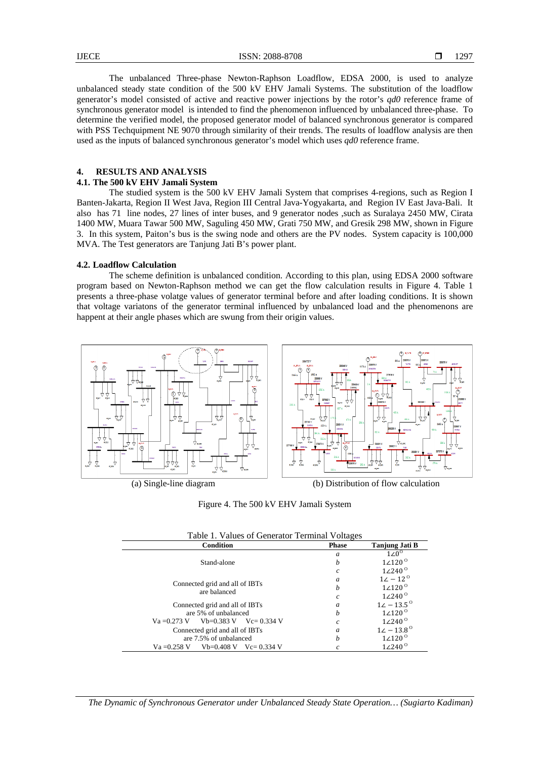The unbalanced Three-phase Newton-Raphson Loadflow, EDSA 2000, is used to analyze unbalanced steady state condition of the 500 kV EHV Jamali Systems. The substitution of the loadflow generator's model consisted of active and reactive power injections by the rotor's *qd0* reference frame of synchronous generator model is intended to find the phenomenon influenced by unbalanced three-phase. To determine the verified model, the proposed generator model of balanced synchronous generator is compared with PSS Techquipment NE 9070 through similarity of their trends. The results of loadflow analysis are then used as the inputs of balanced synchronous generator's model which uses *qd0* reference frame.

# **4. RESULTS AND ANALYSIS**

# **4.1. The 500 kV EHV Jamali System**

The studied system is the 500 kV EHV Jamali System that comprises 4-regions, such as Region I Banten-Jakarta, Region II West Java, Region III Central Java-Yogyakarta, and Region IV East Java-Bali. It also has 71 line nodes, 27 lines of inter buses, and 9 generator nodes ,such as Suralaya 2450 MW, Cirata 1400 MW, Muara Tawar 500 MW, Saguling 450 MW, Grati 750 MW, and Gresik 298 MW, shown in Figure 3. In this system, Paiton's bus is the swing node and others are the PV nodes. System capacity is 100,000 MVA. The Test generators are Tanjung Jati B's power plant.

#### **4.2. Loadflow Calculation**

The scheme definition is unbalanced condition. According to this plan, using EDSA 2000 software program based on Newton-Raphson method we can get the flow calculation results in Figure 4. Table 1 presents a three-phase volatge values of generator terminal before and after loading conditions. It is shown that voltage variatons of the generator terminal influenced by unbalanced load and the phenomenons are happent at their angle phases which are swung from their origin values.



(a) Single-line diagram (b) Distribution of flow calculation

Figure 4. The 500 kV EHV Jamali System

| Table 1. Values of Generator Terminal Voltages |                  |                        |  |  |
|------------------------------------------------|------------------|------------------------|--|--|
| <b>Condition</b>                               | <b>Phase</b>     | Tanjung Jati B         |  |  |
|                                                | a                | $1\angle 0^\circ$      |  |  |
| Stand-alone                                    | h                | $1\angle 120^\circ$    |  |  |
|                                                | c                | $1\angle 240^\circ$    |  |  |
| Connected grid and all of IBTs                 | a                | $12 - 12^{o}$          |  |  |
| are balanced                                   | h                | $1\angle 120^\circ$    |  |  |
|                                                | $\mathfrak c$    | $1\angle 240^\circ$    |  |  |
| Connected grid and all of IBTs                 | a                | $12 - 13.5^{\circ}$    |  |  |
| are 5% of unbalanced                           | h                | $1\angle 120^\circ$    |  |  |
| Va = 0.273 V Vb=0.383 V Vc= 0.334 V            | Ċ                | $1 \angle 240^{\circ}$ |  |  |
| Connected grid and all of IBTs                 | $\boldsymbol{a}$ | $12 - 13.8^{\circ}$    |  |  |
| are 7.5% of unbalanced                         | h                | $1\angle 120^\circ$    |  |  |
| $Vb=0.408$ V $Vc=0.334$ V<br>$Va = 0.258 V$    |                  | $1\angle 240^\circ$    |  |  |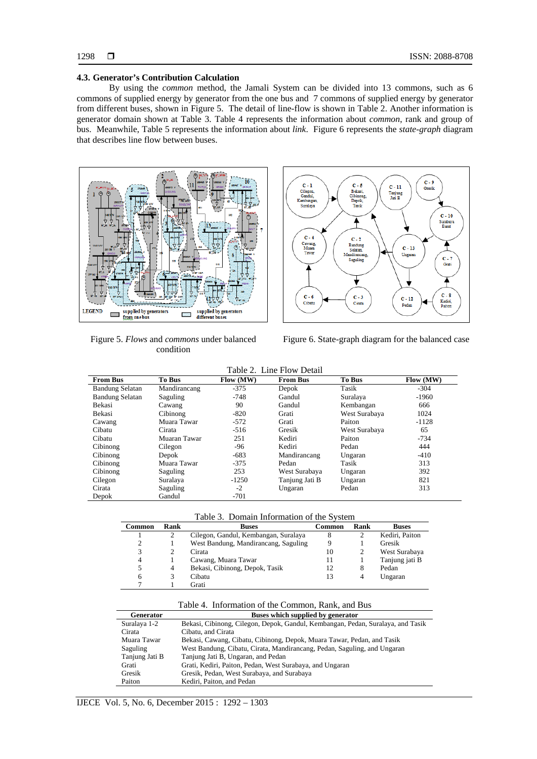#### **4.3. Generator's Contribution Calculation**

By using the *common* method, the Jamali System can be divided into 13 commons, such as 6 commons of supplied energy by generator from the one bus and 7 commons of supplied energy by generator from different buses, shown in Figure 5. The detail of line-flow is shown in Table 2. Another information is generator domain shown at Table 3. Table 4 represents the information about *common*, rank and group of bus. Meanwhile, Table 5 represents the information about *link*. Figure 6 represents the *state-graph* diagram that describes line flow between buses.



Figure 5. *Flows* and *commons* under balanced condition



Figure 6. State-graph diagram for the balanced case

|  | Table 2. Line Flow Detail |  |
|--|---------------------------|--|
|--|---------------------------|--|

| <b>From Bus</b>        | <b>To Bus</b> | Flow (MW) | <b>From Bus</b> | <b>To Bus</b> | Flow (MW) |
|------------------------|---------------|-----------|-----------------|---------------|-----------|
| <b>Bandung Selatan</b> | Mandirancang  | $-375$    | Depok           | Tasik         | $-304$    |
| <b>Bandung Selatan</b> | Saguling      | $-748$    | Gandul          | Suralaya      | $-1960$   |
| Bekasi                 | Cawang        | 90        | Gandul          | Kembangan     | 666       |
| Bekasi                 | Cibinong      | $-820$    | Grati           | West Surabaya | 1024      |
| Cawang                 | Muara Tawar   | $-572$    | Grati           | Paiton        | $-1128$   |
| Cibatu                 | Cirata        | $-516$    | Gresik          | West Surabaya | 65        |
| Cibatu                 | Muaran Tawar  | 251       | Kediri          | Paiton        | $-734$    |
| Cibinong               | Cilegon       | -96       | Kediri          | Pedan         | 444       |
| Cibinong               | Depok         | $-683$    | Mandirancang    | Ungaran       | $-410$    |
| Cibinong               | Muara Tawar   | $-375$    | Pedan           | Tasik         | 313       |
| Cibinong               | Saguling      | 253       | West Surabaya   | Ungaran       | 392       |
| Cilegon                | Suralaya      | $-1250$   | Tanjung Jati B  | Ungaran       | 821       |
| Cirata                 | Saguling      | $-2$      | Ungaran         | Pedan         | 313       |
| Depok                  | Gandul        | $-701$    |                 |               |           |

Table 3. Domain Information of the System

| Common | Rank | <b>Buses</b>                         | Common | Rank | <b>Buses</b>   |
|--------|------|--------------------------------------|--------|------|----------------|
|        |      | Cilegon, Gandul, Kembangan, Suralaya |        |      | Kediri, Paiton |
|        |      | West Bandung, Mandirancang, Saguling |        |      | Gresik         |
| 3      |      | Cirata                               | 10     | 2    | West Surabaya  |
| 4      |      | Cawang, Muara Tawar                  | 11     |      | Tanjung jati B |
|        | 4    | Bekasi, Cibinong, Depok, Tasik       | 12     | 8    | Pedan          |
| 6      |      | Cibatu                               | 13     | 4    | Ungaran        |
|        |      | Grati                                |        |      |                |

| Table 4. Information of the Common, Rank, and Bus |  |
|---------------------------------------------------|--|
|                                                   |  |

| <b>Generator</b> | Buses which supplied by generator                                               |
|------------------|---------------------------------------------------------------------------------|
| Suralaya 1-2     | Bekasi, Cibinong, Cilegon, Depok, Gandul, Kembangan, Pedan, Suralaya, and Tasik |
| Cirata           | Cibatu, and Cirata                                                              |
| Muara Tawar      | Bekasi, Cawang, Cibatu, Cibinong, Depok, Muara Tawar, Pedan, and Tasik          |
| Saguling         | West Bandung, Cibatu, Cirata, Mandirancang, Pedan, Saguling, and Ungaran        |
| Tanjung Jati B   | Tanjung Jati B, Ungaran, and Pedan                                              |
| Grati            | Grati, Kediri, Paiton, Pedan, West Surabaya, and Ungaran                        |
| Gresik           | Gresik, Pedan, West Surabaya, and Surabaya                                      |
| Paiton           | Kediri, Paiton, and Pedan                                                       |
|                  |                                                                                 |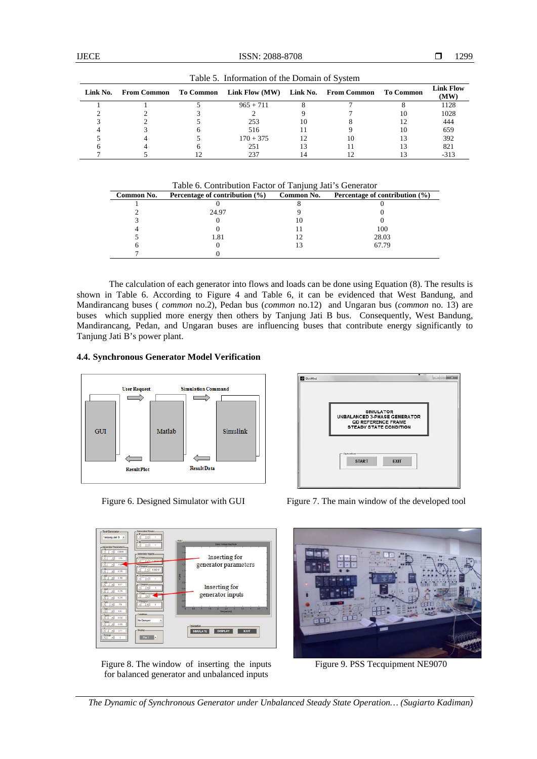|          |  | $14000$ $\sigma$ . Information of the Domain of Dystem    |    |              |           |                          |
|----------|--|-----------------------------------------------------------|----|--------------|-----------|--------------------------|
| Link No. |  | From Common To Common Link Flow (MW) Link No. From Common |    |              | To Common | <b>Link Flow</b><br>(MW) |
|          |  | $965 + 711$                                               |    |              |           | 1128                     |
|          |  |                                                           |    |              | 10        | 1028                     |
|          |  | 253                                                       | 10 |              |           | 444                      |
|          |  | 516                                                       |    |              | 10        | 659                      |
|          |  | $170 + 375$                                               |    | $10^{\circ}$ |           | 392                      |
|          |  | 251                                                       |    |              |           | 821                      |
|          |  |                                                           |    |              |           | -313                     |

Table 5. Information of the Domain of System

Table 6. Contribution Factor of Tanjung Jati's Generator

| Common No. | Percentage of contribution $(\% )$ | Common No. | Percentage of contribution $(\% )$ |
|------------|------------------------------------|------------|------------------------------------|
|            |                                    |            |                                    |
|            | 24.97                              |            |                                    |
|            |                                    | IO         |                                    |
|            |                                    |            | 100                                |
|            | 1.81                               |            | 28.03                              |
|            |                                    |            | 67.79                              |
|            |                                    |            |                                    |

The calculation of each generator into flows and loads can be done using Equation (8). The results is shown in Table 6. According to Figure 4 and Table 6, it can be evidenced that West Bandung, and Mandirancang buses ( *common* no.2), Pedan bus (*common* no.12) and Ungaran bus (*common* no. 13) are buses which supplied more energy then others by Tanjung Jati B bus. Consequently, West Bandung, Mandirancang, Pedan, and Ungaran buses are influencing buses that contribute energy significantly to Tanjung Jati B's power plant.

# **4.4. Synchronous Generator Model Verification**





Figure 8. The window of inserting the inputs for balanced generator and unbalanced inputs



Figure 6. Designed Simulator with GUI Figure 7. The main window of the developed tool



Figure 9. PSS Tecquipment NE9070

*The Dynamic of Synchronous Generator under Unbalanced Steady State Operation… (Sugiarto Kadiman)*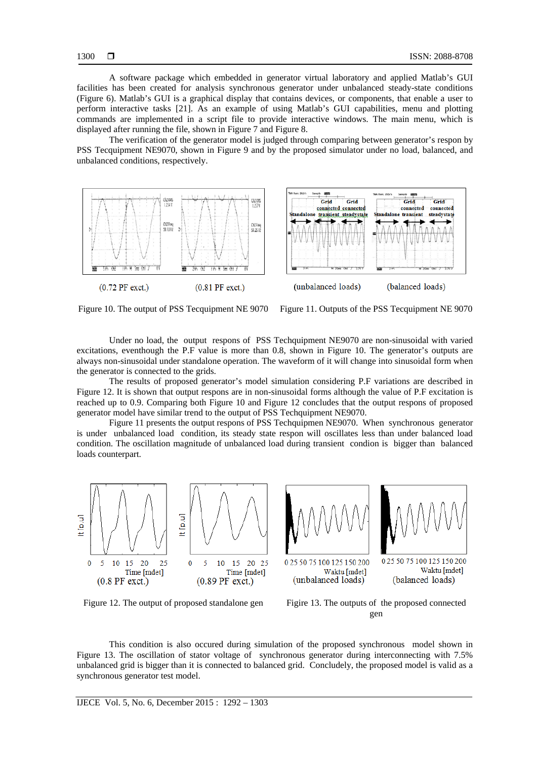A software package which embedded in generator virtual laboratory and applied Matlab's GUI facilities has been created for analysis synchronous generator under unbalanced steady-state conditions (Figure 6). Matlab's GUI is a graphical display that contains devices, or components, that enable a user to perform interactive tasks [21]. As an example of using Matlab's GUI capabilities, menu and plotting commands are implemented in a script file to provide interactive windows. The main menu, which is displayed after running the file, shown in Figure 7 and Figure 8.

The verification of the generator model is judged through comparing between generator's respon by PSS Tecquipment NE9070, shown in Figure 9 and by the proposed simulator under no load, balanced, and unbalanced conditions, respectively.



Figure 10. The output of PSS Tecquipment NE 9070 Figure 11. Outputs of the PSS Tecquipment NE 9070

Under no load, the output respons of PSS Techquipment NE9070 are non-sinusoidal with varied excitations, eventhough the P.F value is more than 0.8, shown in Figure 10. The generator's outputs are always non-sinusoidal under standalone operation. The waveform of it will change into sinusoidal form when the generator is connected to the grids.

The results of proposed generator's model simulation considering P.F variations are described in Figure 12. It is shown that output respons are in non-sinusoidal forms although the value of P.F excitation is reached up to 0.9. Comparing both Figure 10 and Figure 12 concludes that the output respons of proposed generator model have similar trend to the output of PSS Techquipment NE9070.

Figure 11 presents the output respons of PSS Techquipmen NE9070. When synchronous generator is under unbalanced load condition, its steady state respon will oscillates less than under balanced load condition. The oscillation magnitude of unbalanced load during transient condion is bigger than balanced loads counterpart.



Figure 12. The output of proposed standalone gen Figire 13. The outputs of the proposed connected gen

This condition is also occured during simulation of the proposed synchronous model shown in Figure 13. The oscillation of stator voltage of synchronous generator during interconnecting with 7.5% unbalanced grid is bigger than it is connected to balanced grid. Concludely, the proposed model is valid as a synchronous generator test model.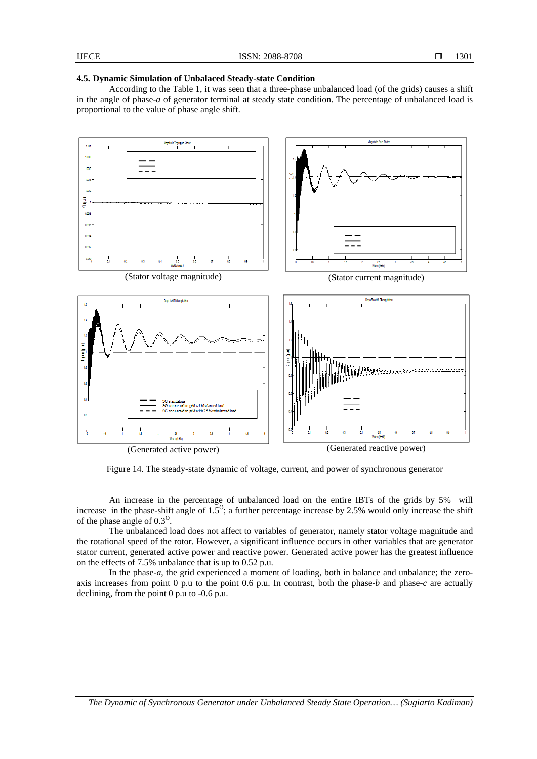#### **4.5. Dynamic Simulation of Unbalaced Steady-state Condition**

According to the Table 1, it was seen that a three-phase unbalanced load (of the grids) causes a shift in the angle of phase-*a* of generator terminal at steady state condition. The percentage of unbalanced load is proportional to the value of phase angle shift.



Figure 14. The steady-state dynamic of voltage, current, and power of synchronous generator

An increase in the percentage of unbalanced load on the entire IBTs of the grids by 5% will increase in the phase-shift angle of  $1.5^{\circ}$ ; a further percentage increase by 2.5% would only increase the shift of the phase angle of  $0.3^{\circ}$ .

The unbalanced load does not affect to variables of generator, namely stator voltage magnitude and the rotational speed of the rotor. However, a significant influence occurs in other variables that are generator stator current, generated active power and reactive power. Generated active power has the greatest influence on the effects of 7.5% unbalance that is up to 0.52 p.u.

In the phase-*a*, the grid experienced a moment of loading, both in balance and unbalance; the zeroaxis increases from point 0 p.u to the point 0.6 p.u. In contrast, both the phase-*b* and phase-*c* are actually declining, from the point 0 p.u to -0.6 p.u.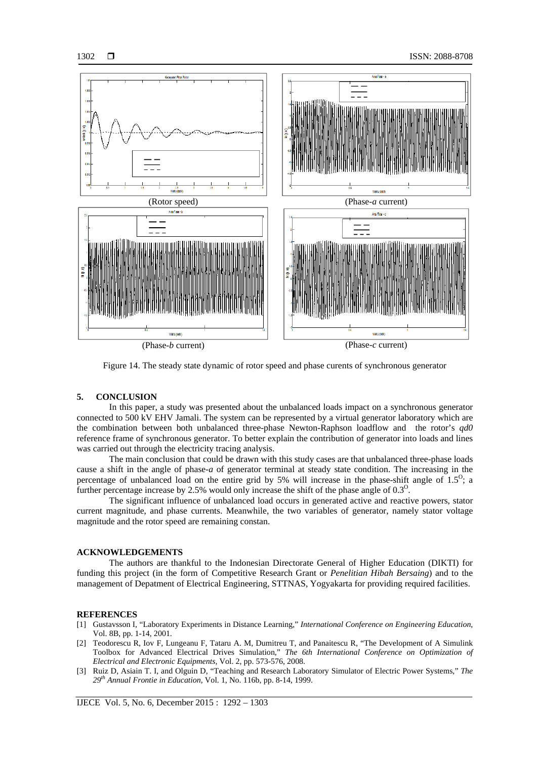

Figure 14. The steady state dynamic of rotor speed and phase curents of synchronous generator

#### **5. CONCLUSION**

In this paper, a study was presented about the unbalanced loads impact on a synchronous generator connected to 500 kV EHV Jamali. The system can be represented by a virtual generator laboratory which are the combination between both unbalanced three-phase Newton-Raphson loadflow and the rotor's *qd0* reference frame of synchronous generator. To better explain the contribution of generator into loads and lines was carried out through the electricity tracing analysis.

The main conclusion that could be drawn with this study cases are that unbalanced three-phase loads cause a shift in the angle of phase-*a* of generator terminal at steady state condition. The increasing in the percentage of unbalanced load on the entire grid by 5% will increase in the phase-shift angle of  $1.5^{\circ}$ ; a further percentage increase by 2.5% would only increase the shift of the phase angle of  $0.3^{\circ}$ .

The significant influence of unbalanced load occurs in generated active and reactive powers, stator current magnitude, and phase currents. Meanwhile, the two variables of generator, namely stator voltage magnitude and the rotor speed are remaining constan.

#### **ACKNOWLEDGEMENTS**

The authors are thankful to the Indonesian Directorate General of Higher Education (DIKTI) for funding this project (in the form of Competitive Research Grant or *Penelitian Hibah Bersaing*) and to the management of Depatment of Electrical Engineering, STTNAS, Yogyakarta for providing required facilities.

#### **REFERENCES**

- [1] Gustavsson I, "Laboratory Experiments in Distance Learning," *International Conference on Engineering Education*, Vol. 8B, pp. 1-14, 2001.
- [2] Teodorescu R, Iov F, Lungeanu F, Tataru A. M, Dumitreu T, and Panaitescu R, "The Development of A Simulink Toolbox for Advanced Electrical Drives Simulation," *The 6th International Conference on Optimization of Electrical and Electronic Equipments,* Vol. 2, pp. 573-576, 2008.
- [3] Ruiz D, Asiain T. I, and Olguin D, "Teaching and Research Laboratory Simulator of Electric Power Systems," *The 29th Annual Frontie in Education,* Vol. 1, No. 116b, pp. 8-14, 1999.